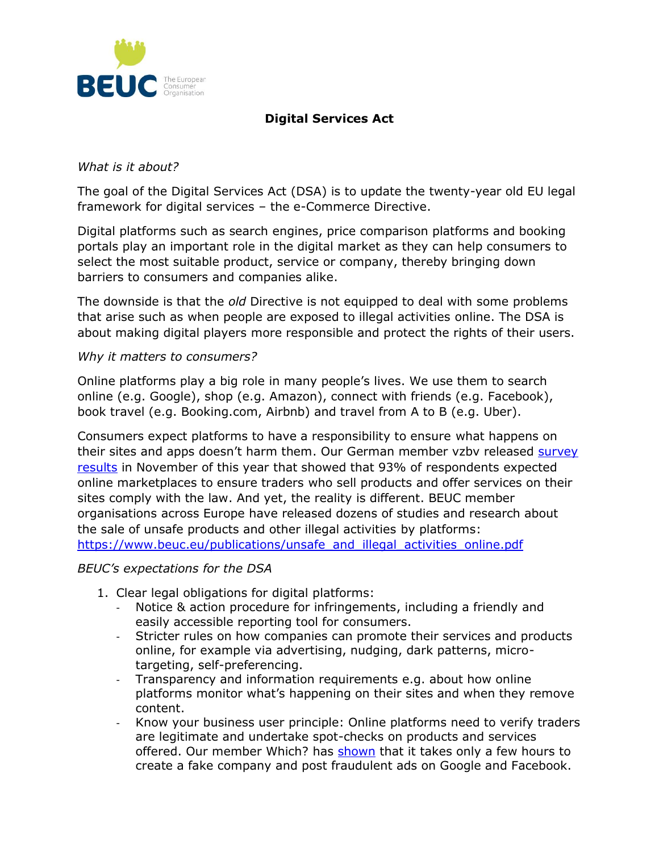

## **Digital Services Act**

## *What is it about?*

The goal of the Digital Services Act (DSA) is to update the twenty-year old EU legal framework for digital services – the e-Commerce Directive.

Digital platforms such as search engines, price comparison platforms and booking portals play an important role in the digital market as they can help consumers to select the most suitable product, service or company, thereby bringing down barriers to consumers and companies alike.

The downside is that the *old* Directive is not equipped to deal with some problems that arise such as when people are exposed to illegal activities online. The DSA is about making digital players more responsible and protect the rights of their users.

## *Why it matters to consumers?*

Online platforms play a big role in many people's lives. We use them to search online (e.g. Google), shop (e.g. Amazon), connect with friends (e.g. Facebook), book travel (e.g. Booking.com, Airbnb) and travel from A to B (e.g. Uber).

Consumers expect platforms to have a responsibility to ensure what happens on their sites and apps doesn't harm them. Our German member vzbv released [survey](https://ssl.vzbv.de/pressemitteilung/grenzenloser-aerger-statt-bequemer-online-kauf)  [results](https://ssl.vzbv.de/pressemitteilung/grenzenloser-aerger-statt-bequemer-online-kauf) in November of this year that showed that 93% of respondents expected online marketplaces to ensure traders who sell products and offer services on their sites comply with the law. And yet, the reality is different. BEUC member organisations across Europe have released dozens of studies and research about the sale of unsafe products and other illegal activities by platforms: [https://www.beuc.eu/publications/unsafe\\_and\\_illegal\\_activities\\_online.pdf](https://www.beuc.eu/publications/unsafe_and_illegal_activities_online.pdf)

## *BEUC's expectations for the DSA*

- 1. Clear legal obligations for digital platforms:
	- Notice & action procedure for infringements, including a friendly and easily accessible reporting tool for consumers.
	- Stricter rules on how companies can promote their services and products online, for example via advertising, nudging, dark patterns, microtargeting, self-preferencing.
	- Transparency and information requirements e.g. about how online platforms monitor what's happening on their sites and when they remove content.
	- Know your business user principle: Online platforms need to verify traders are legitimate and undertake spot-checks on products and services offered. Our member Which? has [shown](https://www.which.co.uk/news/2020/07/fake-ads-real-problems-how-easy-is-it-to-post-scam-adverts-on-google-and-facebook/) that it takes only a few hours to create a fake company and post fraudulent ads on Google and Facebook.